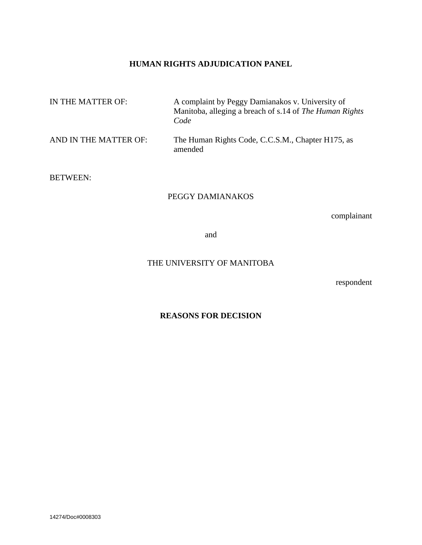# **HUMAN RIGHTS ADJUDICATION PANEL**

| IN THE MATTER OF:     | A complaint by Peggy Damianakos v. University of<br>Manitoba, alleging a breach of s.14 of The Human Rights<br>Code |
|-----------------------|---------------------------------------------------------------------------------------------------------------------|
| AND IN THE MATTER OF: | The Human Rights Code, C.C.S.M., Chapter H175, as<br>amended                                                        |
| BETWEEN:              |                                                                                                                     |

# PEGGY DAMIANAKOS

complainant

and

## THE UNIVERSITY OF MANITOBA

respondent

## **REASONS FOR DECISION**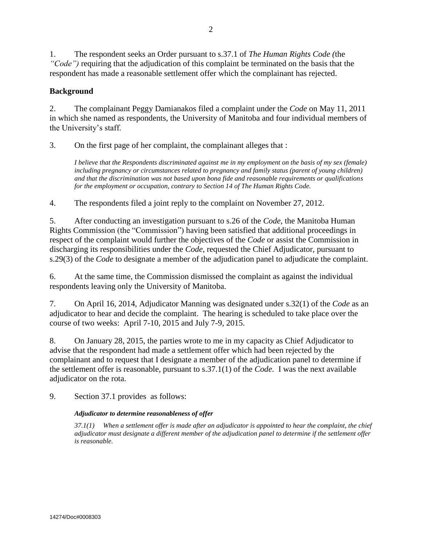1. The respondent seeks an Order pursuant to s.37.1 of *The Human Rights Code (*the *"Code")* requiring that the adjudication of this complaint be terminated on the basis that the respondent has made a reasonable settlement offer which the complainant has rejected.

## **Background**

2. The complainant Peggy Damianakos filed a complaint under the *Code* on May 11, 2011 in which she named as respondents, the University of Manitoba and four individual members of the University's staff.

3. On the first page of her complaint, the complainant alleges that :

*I believe that the Respondents discriminated against me in my employment on the basis of my sex (female) including pregnancy or circumstances related to pregnancy and family status (parent of young children) and that the discrimination was not based upon bona fide and reasonable requirements or qualifications for the employment or occupation, contrary to Section 14 of The Human Rights Code.*

4. The respondents filed a joint reply to the complaint on November 27, 2012.

5. After conducting an investigation pursuant to s.26 of the *Code*, the Manitoba Human Rights Commission (the "Commission") having been satisfied that additional proceedings in respect of the complaint would further the objectives of the *Code* or assist the Commission in discharging its responsibilities under the *Code*, requested the Chief Adjudicator, pursuant to s.29(3) of the *Code* to designate a member of the adjudication panel to adjudicate the complaint.

6. At the same time, the Commission dismissed the complaint as against the individual respondents leaving only the University of Manitoba.

7. On April 16, 2014, Adjudicator Manning was designated under s.32(1) of the *Code* as an adjudicator to hear and decide the complaint. The hearing is scheduled to take place over the course of two weeks: April 7-10, 2015 and July 7-9, 2015.

8. On January 28, 2015, the parties wrote to me in my capacity as Chief Adjudicator to advise that the respondent had made a settlement offer which had been rejected by the complainant and to request that I designate a member of the adjudication panel to determine if the settlement offer is reasonable, pursuant to s.37.1(1) of the *Code*. I was the next available adjudicator on the rota.

9. Section 37.1 provides as follows:

## *Adjudicator to determine reasonableness of offer*

*[37.1\(1\)](https://web2.gov.mb.ca/laws/statutes/ccsm/h175f.php#37.1) When a settlement offer is made after an adjudicator is appointed to hear the complaint, the chief adjudicator must designate a different member of the adjudication panel to determine if the settlement offer is reasonable.*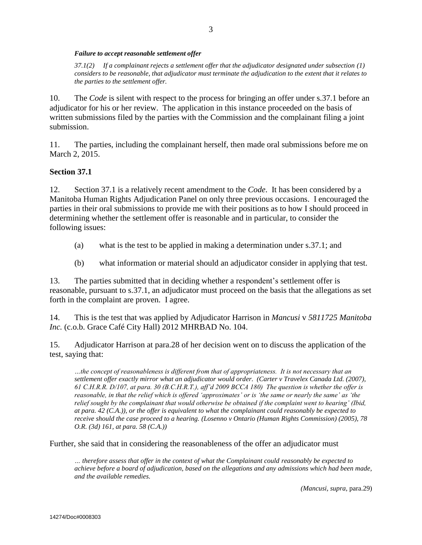### *Failure to accept reasonable settlement offer*

*[37.1\(2\)](https://web2.gov.mb.ca/laws/statutes/ccsm/h175f.php#37.1(2)) If a complainant rejects a settlement offer that the adjudicator designated under subsection (1) considers to be reasonable, that adjudicator must terminate the adjudication to the extent that it relates to the parties to the settlement offer.*

10. The *Code* is silent with respect to the process for bringing an offer under s.37.1 before an adjudicator for his or her review. The application in this instance proceeded on the basis of written submissions filed by the parties with the Commission and the complainant filing a joint submission.

11. The parties, including the complainant herself, then made oral submissions before me on March 2, 2015.

## **Section 37.1**

12. Section 37.1 is a relatively recent amendment to the *Code*. It has been considered by a Manitoba Human Rights Adjudication Panel on only three previous occasions. I encouraged the parties in their oral submissions to provide me with their positions as to how I should proceed in determining whether the settlement offer is reasonable and in particular, to consider the following issues:

- (a) what is the test to be applied in making a determination under s.37.1; and
- (b) what information or material should an adjudicator consider in applying that test.

13. The parties submitted that in deciding whether a respondent's settlement offer is reasonable, pursuant to s.37.1, an adjudicator must proceed on the basis that the allegations as set forth in the complaint are proven. I agree.

14. This is the test that was applied by Adjudicator Harrison in *Mancusi* v *5811725 Manitoba Inc.* (c.o.b. Grace Café City Hall) 2012 MHRBAD No. 104.

15. Adjudicator Harrison at para.28 of her decision went on to discuss the application of the test, saying that:

*…the concept of reasonableness is different from that of appropriateness. It is not necessary that an settlement offer exactly mirror what an adjudicator would order. (Carter v Travelex Canada Ltd. (2007), 61 C.H.R.R. D/107, at para. 30 (B.C.H.R.T.), aff'd 2009 BCCA 180) The question is whether the offer is reasonable, in that the relief which is offered 'approximates' or is 'the same or nearly the same' as 'the relief sought by the complainant that would otherwise be obtained if the complaint went to hearing' (Ibid, at para. 42 (C.A.)), or the offer is equivalent to what the complainant could reasonably be expected to receive should the case proceed to a hearing. (Losenno v Ontario (Human Rights Commission) (2005), 78 O.R. (3d) 161, at para. 58 (C.A.))*

Further, she said that in considering the reasonableness of the offer an adjudicator must

*… therefore assess that offer in the context of what the Complainant could reasonably be expected to achieve before a board of adjudication, based on the allegations and any admissions which had been made, and the available remedies.*

*(Mancusi, supra,* para.29)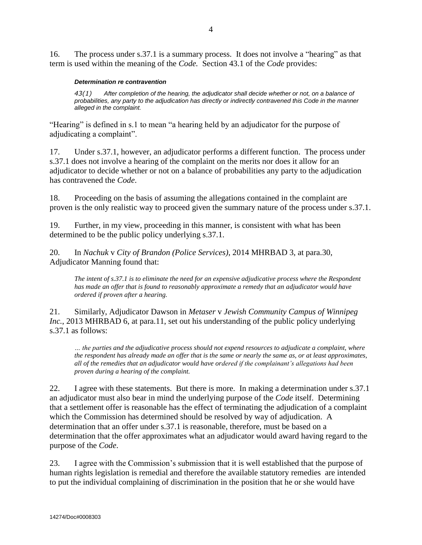16. The process under s.37.1 is a summary process. It does not involve a "hearing" as that term is used within the meaning of the *Code.* Section 43.1 of the *Code* provides:

### *Determination re contravention*

*[43\(1\)](https://web2.gov.mb.ca/laws/statutes/ccsm/h175f.php#43) After completion of the hearing, the adjudicator shall decide whether or not, on a balance of probabilities, any party to the adjudication has directly or indirectly contravened this Code in the manner alleged in the complaint.*

"Hearing" is defined in s.1 to mean "a hearing held by an adjudicator for the purpose of adjudicating a complaint".

17. Under s.37.1, however, an adjudicator performs a different function. The process under s.37.1 does not involve a hearing of the complaint on the merits nor does it allow for an adjudicator to decide whether or not on a balance of probabilities any party to the adjudication has contravened the *Code*.

18. Proceeding on the basis of assuming the allegations contained in the complaint are proven is the only realistic way to proceed given the summary nature of the process under s.37.1.

19. Further, in my view, proceeding in this manner, is consistent with what has been determined to be the public policy underlying s.37.1.

20. In *Nachuk* v *City of Brandon (Police Services)*, 2014 MHRBAD 3, at para.30, Adjudicator Manning found that:

*The intent of s.37.1 is to eliminate the need for an expensive adjudicative process where the Respondent has made an offer that is found to reasonably approximate a remedy that an adjudicator would have ordered if proven after a hearing.*

21. Similarly, Adjudicator Dawson in *Metaser* v *Jewish Community Campus of Winnipeg Inc.*, 2013 MHRBAD 6, at para.11, set out his understanding of the public policy underlying s.37.1 as follows:

*… the parties and the adjudicative process should not expend resources to adjudicate a complaint, where the respondent has already made an offer that is the same or nearly the same as, or at least approximates, all of the remedies that an adjudicator would have ordered if the complainant's allegations had been proven during a hearing of the complaint.*

22. I agree with these statements. But there is more. In making a determination under s.37.1 an adjudicator must also bear in mind the underlying purpose of the *Code* itself. Determining that a settlement offer is reasonable has the effect of terminating the adjudication of a complaint which the Commission has determined should be resolved by way of adjudication. A determination that an offer under s.37.1 is reasonable, therefore, must be based on a determination that the offer approximates what an adjudicator would award having regard to the purpose of the *Code*.

23. I agree with the Commission's submission that it is well established that the purpose of human rights legislation is remedial and therefore the available statutory remedies are intended to put the individual complaining of discrimination in the position that he or she would have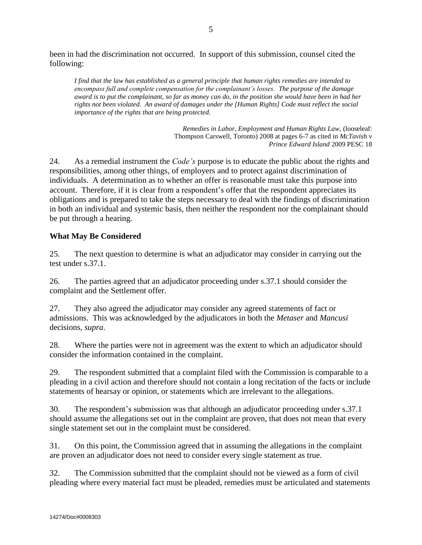been in had the discrimination not occurred. In support of this submission, counsel cited the following:

*I find that the law has established as a general principle that human rights remedies are intended to encompass full and complete compensation for the complainant's losses. The purpose of the damage award is to put the complainant, so far as money can do, in the position she would have been in had her rights not been violated. An award of damages under the [Human Rights] Code must reflect the social importance of the rights that are being protected.*

> *Remedies in Labor, Employment and Human Rights Law,* (looseleaf: Thompson Carswell, Toronto) 2008 at pages 6-7 as cited in *McTavish* v *Prince Edward Island* 2009 PESC 18

24. As a remedial instrument the *Code's* purpose is to educate the public about the rights and responsibilities, among other things, of employers and to protect against discrimination of individuals. A determination as to whether an offer is reasonable must take this purpose into account. Therefore, if it is clear from a respondent's offer that the respondent appreciates its obligations and is prepared to take the steps necessary to deal with the findings of discrimination in both an individual and systemic basis, then neither the respondent nor the complainant should be put through a hearing.

# **What May Be Considered**

25. The next question to determine is what an adjudicator may consider in carrying out the test under s.37.1.

26. The parties agreed that an adjudicator proceeding under s.37.1 should consider the complaint and the Settlement offer.

27. They also agreed the adjudicator may consider any agreed statements of fact or admissions. This was acknowledged by the adjudicators in both the *Metaser* and *Mancusi* decisions, *supra*.

28. Where the parties were not in agreement was the extent to which an adjudicator should consider the information contained in the complaint.

29. The respondent submitted that a complaint filed with the Commission is comparable to a pleading in a civil action and therefore should not contain a long recitation of the facts or include statements of hearsay or opinion, or statements which are irrelevant to the allegations.

30. The respondent's submission was that although an adjudicator proceeding under s.37.1 should assume the allegations set out in the complaint are proven, that does not mean that every single statement set out in the complaint must be considered.

31. On this point, the Commission agreed that in assuming the allegations in the complaint are proven an adjudicator does not need to consider every single statement as true.

32. The Commission submitted that the complaint should not be viewed as a form of civil pleading where every material fact must be pleaded, remedies must be articulated and statements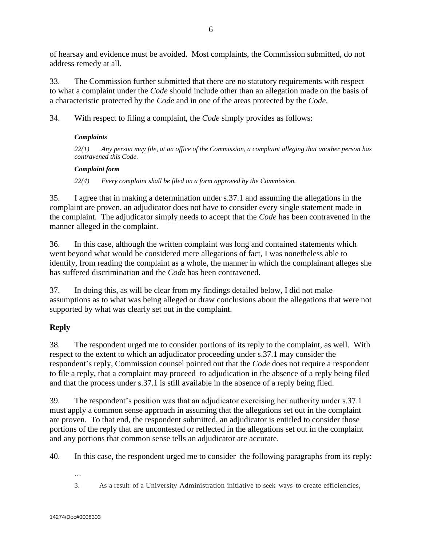of hearsay and evidence must be avoided. Most complaints, the Commission submitted, do not address remedy at all.

33. The Commission further submitted that there are no statutory requirements with respect to what a complaint under the *Code* should include other than an allegation made on the basis of a characteristic protected by the *Code* and in one of the areas protected by the *Code*.

34. With respect to filing a complaint, the *Code* simply provides as follows:

# *Complaints*

*[22\(1\)](https://web2.gov.mb.ca/laws/statutes/ccsm/h175f.php#22) Any person may file, at an office of the Commission, a complaint alleging that another person has contravened this Code.* 

## *Complaint form*

*[22\(4\)](https://web2.gov.mb.ca/laws/statutes/ccsm/h175f.php#22(4)) Every complaint shall be filed on a form approved by the Commission.* 

35. I agree that in making a determination under s.37.1 and assuming the allegations in the complaint are proven, an adjudicator does not have to consider every single statement made in the complaint. The adjudicator simply needs to accept that the *Code* has been contravened in the manner alleged in the complaint.

36. In this case, although the written complaint was long and contained statements which went beyond what would be considered mere allegations of fact, I was nonetheless able to identify, from reading the complaint as a whole, the manner in which the complainant alleges she has suffered discrimination and the *Code* has been contravened.

37. In doing this, as will be clear from my findings detailed below, I did not make assumptions as to what was being alleged or draw conclusions about the allegations that were not supported by what was clearly set out in the complaint.

# **Reply**

38. The respondent urged me to consider portions of its reply to the complaint, as well. With respect to the extent to which an adjudicator proceeding under s.37.1 may consider the respondent's reply, Commission counsel pointed out that the *Code* does not require a respondent to file a reply, that a complaint may proceed to adjudication in the absence of a reply being filed and that the process under s.37.1 is still available in the absence of a reply being filed.

39. The respondent's position was that an adjudicator exercising her authority under s.37.1 must apply a common sense approach in assuming that the allegations set out in the complaint are proven. To that end, the respondent submitted, an adjudicator is entitled to consider those portions of the reply that are uncontested or reflected in the allegations set out in the complaint and any portions that common sense tells an adjudicator are accurate.

40. In this case, the respondent urged me to consider the following paragraphs from its reply:

…

3. As a result of a University Administration initiative to seek ways to create efficiencies,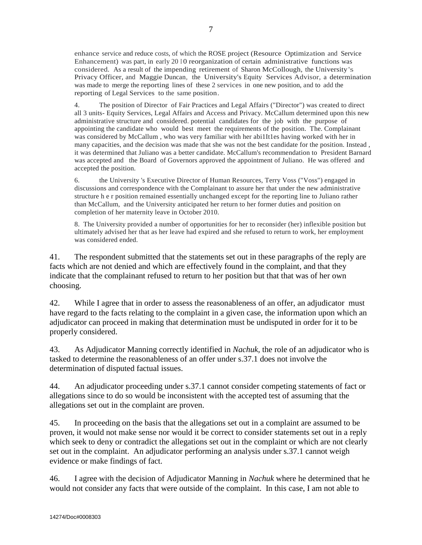enhance service and reduce costs, of which the ROSE project (Resource Optimization and Service Enhancement) was part, in early 2010 reorganization of certain administrative functions was considered. As a result of the impending retirement of Sharon McCollough, the University's Privacy Officer, and Maggie Duncan, the University's Equity Services Advisor, a determination was made to merge the reporting lines of these 2 services in one new position, and to add the reporting of Legal Services to the same position.

4. The position of Director of Fair Practices and Legal Affairs ("Director") was created to direct all 3 units- Equity Services, Legal Affairs and Access and Privacy. McCallum determined upon this new administrative structure and considered. potential candidates for the job with the purpose of appointing the candidate who would best meet the requirements of the position. The. Complainant was considered by McCallum , who was very familiar with her abi1It1es having worked with her in many capacities, and the decision was made that she was not the best candidate for the position. Instead , it was determined that Juliano was a better candidate. McCallum's recommendation to President Barnard was accepted and the Board of Governors approved the appointment of Juliano. He was offered and accepted the position.

6. the University 's Executive Director of Human Resources, Terry Voss ("Voss") engaged in discussions and correspondence with the Complainant to assure her that under the new administrative structure h e r position remained essentially unchanged except for the reporting line to Juliano rather than McCallum, and the University anticipated her return to her former duties and position on completion of her maternity leave in October 2010.

8. The University provided a number of opportunities for her to reconsider (her) inflexible position but ultimately advised her that as her leave had expired and she refused to return to work, her employment was considered ended.

41. The respondent submitted that the statements set out in these paragraphs of the reply are facts which are not denied and which are effectively found in the complaint, and that they indicate that the complainant refused to return to her position but that that was of her own choosing.

42. While I agree that in order to assess the reasonableness of an offer, an adjudicator must have regard to the facts relating to the complaint in a given case, the information upon which an adjudicator can proceed in making that determination must be undisputed in order for it to be properly considered.

43. As Adjudicator Manning correctly identified in *Nachuk,* the role of an adjudicator who is tasked to determine the reasonableness of an offer under s.37.1 does not involve the determination of disputed factual issues.

44. An adjudicator proceeding under s.37.1 cannot consider competing statements of fact or allegations since to do so would be inconsistent with the accepted test of assuming that the allegations set out in the complaint are proven.

45. In proceeding on the basis that the allegations set out in a complaint are assumed to be proven, it would not make sense nor would it be correct to consider statements set out in a reply which seek to deny or contradict the allegations set out in the complaint or which are not clearly set out in the complaint. An adjudicator performing an analysis under s.37.1 cannot weigh evidence or make findings of fact.

46. I agree with the decision of Adjudicator Manning in *Nachuk* where he determined that he would not consider any facts that were outside of the complaint. In this case, I am not able to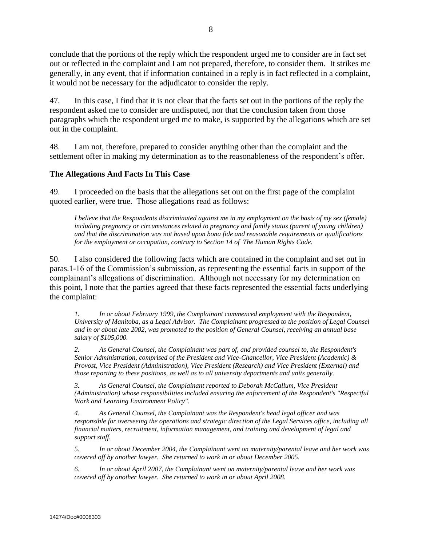conclude that the portions of the reply which the respondent urged me to consider are in fact set out or reflected in the complaint and I am not prepared, therefore, to consider them. It strikes me generally, in any event, that if information contained in a reply is in fact reflected in a complaint, it would not be necessary for the adjudicator to consider the reply.

47. In this case, I find that it is not clear that the facts set out in the portions of the reply the respondent asked me to consider are undisputed, nor that the conclusion taken from those paragraphs which the respondent urged me to make, is supported by the allegations which are set out in the complaint.

48. I am not, therefore, prepared to consider anything other than the complaint and the settlement offer in making my determination as to the reasonableness of the respondent's offer.

## **The Allegations And Facts In This Case**

49. I proceeded on the basis that the allegations set out on the first page of the complaint quoted earlier, were true. Those allegations read as follows:

*I believe that the Respondents discriminated against me in my employment on the basis of my sex (female) including pregnancy or circumstances related to pregnancy and family status (parent of young children) and that the discrimination was not based upon bona fide and reasonable requirements or qualifications for the employment or occupation, contrary to Section 14 of The Human Rights Code.*

50. I also considered the following facts which are contained in the complaint and set out in paras.1-16 of the Commission's submission, as representing the essential facts in support of the complainant's allegations of discrimination. Although not necessary for my determination on this point, I note that the parties agreed that these facts represented the essential facts underlying the complaint:

*1. In or about February 1999, the Complainant commenced employment with the Respondent, University of Manitoba, as a Legal Advisor. The Complainant progressed to the position of Legal Counsel and in or about late 2002, was promoted to the position of General Counsel, receiving an annual base salary of \$105,000.*

*2. As General Counsel, the Complainant was part of, and provided counsel to, the Respondent's Senior Administration, comprised of the President and Vice-Chancellor, Vice President (Academic) & Provost, Vice President (Administration), Vice President (Research) and Vice President (External) and those reporting to these positions, as well as to all university departments and units generally.*

*3. As General Counsel, the Complainant reported to Deborah McCallum, Vice President (Administration) whose responsibilities included ensuring the enforcement of the Respondent's "Respectful Work and Learning Environment Policy".*

*4. As General Counsel, the Complainant was the Respondent's head legal officer and was responsible for overseeing the operations and strategic direction of the Legal Services office, including all financial matters, recruitment, information management, and training and development of legal and support staff.*

*5. In or about December 2004, the Complainant went on maternity/parental leave and her work was covered off by another lawyer. She returned to work in or about December 2005.*

*6. In or about April 2007, the Complainant went on maternity/parental leave and her work was covered off by another lawyer. She returned to work in or about April 2008.*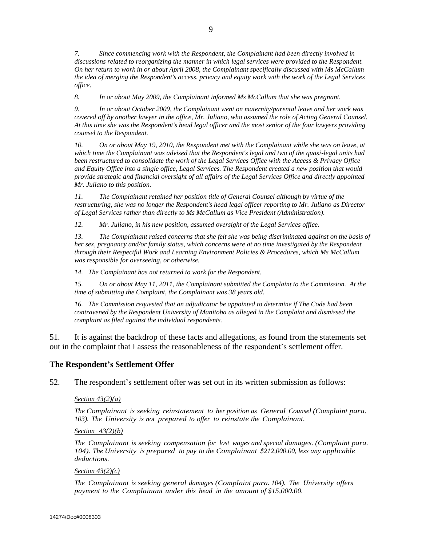*7. Since commencing work with the Respondent, the Complainant had been directly involved in discussions related to reorganizing the manner in which legal services were provided to the Respondent. On her return to work in or about April 2008, the Complainant specifically discussed with Ms McCallum the idea of merging the Respondent's access, privacy and equity work with the work of the Legal Services office.*

*8. In or about May 2009, the Complainant informed Ms McCallum that she was pregnant.*

*9. In or about October 2009, the Complainant went on maternity/parental leave and her work was covered off by another lawyer in the office, Mr. Juliano, who assumed the role of Acting General Counsel. At this time she was the Respondent's head legal officer and the most senior of the four lawyers providing counsel to the Respondent.*

*10. On or about May 19, 2010, the Respondent met with the Complainant while she was on leave, at which time the Complainant was advised that the Respondent's legal and two of the quasi-legal units had been restructured to consolidate the work of the Legal Services Office with the Access & Privacy Office and Equity Office into a single office, Legal Services. The Respondent created a new position that would provide strategic and financial oversight of all affairs of the Legal Services Office and directly appointed Mr. Juliano to this position.*

*11. The Complainant retained her position title of General Counsel although by virtue of the restructuring, she was no longer the Respondent's head legal officer reporting to Mr. Juliano as Director of Legal Services rather than directly to Ms McCallum as Vice President (Administration).*

*12. Mr. Juliano, in his new position, assumed oversight of the Legal Services office.*

*13. The Complainant raised concerns that she felt she was being discriminated against on the basis of her sex, pregnancy and/or family status, which concerns were at no time investigated by the Respondent through their Respectful Work and Learning Environment Policies & Procedures, which Ms McCallum was responsible for overseeing, or otherwise.*

*14. The Complainant has not returned to work for the Respondent.*

*15. On or about May 11, 2011, the Complainant submitted the Complaint to the Commission. At the time of submitting the Complaint, the Complainant was 38 years old.*

*16. The Commission requested that an adjudicator be appointed to determine if The Code had been contravened by the Respondent University of Manitoba as alleged in the Complaint and dismissed the complaint as filed against the individual respondents.*

51. It is against the backdrop of these facts and allegations, as found from the statements set out in the complaint that I assess the reasonableness of the respondent's settlement offer.

## **The Respondent's Settlement Offer**

52. The respondent's settlement offer was set out in its written submission as follows:

#### *Section 43(2)(a)*

*The Complainant is seeking reinstatement to her position as General Counsel (Complaint para. 103). The University is not prepared to offer to reinstate the Complainant.*

*Section 43(2)(b)*

*The Complainant is seeking compensation for lost wages and special damages. (Complaint para. 104). The University is prepared to pay to the Complainant \$212,000.00, less any applicable deductions.*

#### *Section 43(2)(c)*

*The Complainant is seeking general damages (Complaint para. 104). The University offers payment to the Complainant under this head in the amount of \$15,000.00.*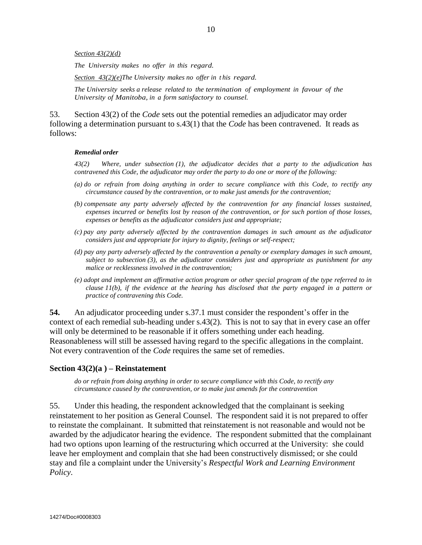*Section 43(2)(d)*

*The University makes no offer in this regard.*

*Section 43(2)(e)The University makes no offer in t his regard.*

*The University seeks a release related to the termination of employment in favour of the University of Manitoba, in a form satisfactory to counsel.*

53. Section 43(2) of the *Code* sets out the potential remedies an adjudicator may order following a determination pursuant to s.43(1) that the *Code* has been contravened. It reads as follows:

#### *Remedial order*

*[43\(2\)](https://web2.gov.mb.ca/laws/statutes/ccsm/h175f.php#43(2)) Where, under subsection (1), the adjudicator decides that a party to the adjudication has contravened this Code, the adjudicator may order the party to do one or more of the following:* 

- *(a) do or refrain from doing anything in order to secure compliance with this Code, to rectify any circumstance caused by the contravention, or to make just amends for the contravention;*
- *(b) compensate any party adversely affected by the contravention for any financial losses sustained, expenses incurred or benefits lost by reason of the contravention, or for such portion of those losses, expenses or benefits as the adjudicator considers just and appropriate;*
- *(c) pay any party adversely affected by the contravention damages in such amount as the adjudicator considers just and appropriate for injury to dignity, feelings or self-respect;*
- *(d) pay any party adversely affected by the contravention a penalty or exemplary damages in such amount, subject to subsection (3), as the adjudicator considers just and appropriate as punishment for any malice or recklessness involved in the contravention;*
- *(e) adopt and implement an affirmative action program or other special program of the type referred to in clause 11(b), if the evidence at the hearing has disclosed that the party engaged in a pattern or practice of contravening this Code.*

**54.** An adjudicator proceeding under s.37.1 must consider the respondent's offer in the context of each remedial sub-heading under s.43(2). This is not to say that in every case an offer will only be determined to be reasonable if it offers something under each heading. Reasonableness will still be assessed having regard to the specific allegations in the complaint. Not every contravention of the *Code* requires the same set of remedies.

#### **Section 43(2)(a ) – Reinstatement**

*do or refrain from doing anything in order to secure compliance with this Code, to rectify any circumstance caused by the contravention, or to make just amends for the contravention*

55. Under this heading, the respondent acknowledged that the complainant is seeking reinstatement to her position as General Counsel. The respondent said it is not prepared to offer to reinstate the complainant. It submitted that reinstatement is not reasonable and would not be awarded by the adjudicator hearing the evidence. The respondent submitted that the complainant had two options upon learning of the restructuring which occurred at the University: she could leave her employment and complain that she had been constructively dismissed; or she could stay and file a complaint under the University's *Respectful Work and Learning Environment Policy*.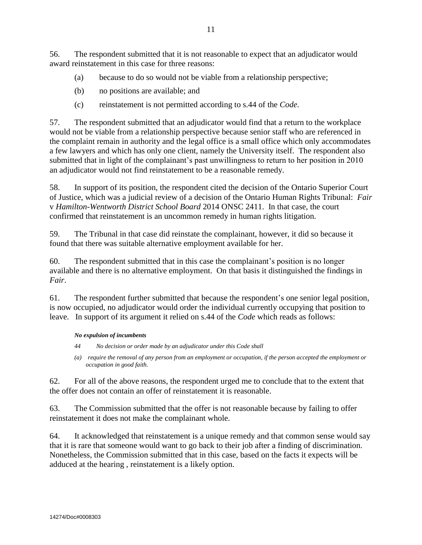56. The respondent submitted that it is not reasonable to expect that an adjudicator would award reinstatement in this case for three reasons:

- (a) because to do so would not be viable from a relationship perspective;
- (b) no positions are available; and
- (c) reinstatement is not permitted according to s.44 of the *Code*.

57. The respondent submitted that an adjudicator would find that a return to the workplace would not be viable from a relationship perspective because senior staff who are referenced in the complaint remain in authority and the legal office is a small office which only accommodates a few lawyers and which has only one client, namely the University itself. The respondent also submitted that in light of the complainant's past unwillingness to return to her position in 2010 an adjudicator would not find reinstatement to be a reasonable remedy.

58. In support of its position, the respondent cited the decision of the Ontario Superior Court of Justice, which was a judicial review of a decision of the Ontario Human Rights Tribunal: *Fair* v *Hamilton-Wentworth District School Board* 2014 ONSC 2411. In that case, the court confirmed that reinstatement is an uncommon remedy in human rights litigation.

59. The Tribunal in that case did reinstate the complainant, however, it did so because it found that there was suitable alternative employment available for her.

60. The respondent submitted that in this case the complainant's position is no longer available and there is no alternative employment. On that basis it distinguished the findings in *Fair*.

61. The respondent further submitted that because the respondent's one senior legal position, is now occupied, no adjudicator would order the individual currently occupying that position to leave. In support of its argument it relied on s.44 of the *Code* which reads as follows:

## *No expulsion of incumbents*

- *[44](https://web2.gov.mb.ca/laws/statutes/ccsm/h175f.php#44) No decision or order made by an adjudicator under this Code shall*
- *(a) require the removal of any person from an employment or occupation, if the person accepted the employment or occupation in good faith.*

62. For all of the above reasons, the respondent urged me to conclude that to the extent that the offer does not contain an offer of reinstatement it is reasonable.

63. The Commission submitted that the offer is not reasonable because by failing to offer reinstatement it does not make the complainant whole.

64. It acknowledged that reinstatement is a unique remedy and that common sense would say that it is rare that someone would want to go back to their job after a finding of discrimination. Nonetheless, the Commission submitted that in this case, based on the facts it expects will be adduced at the hearing , reinstatement is a likely option.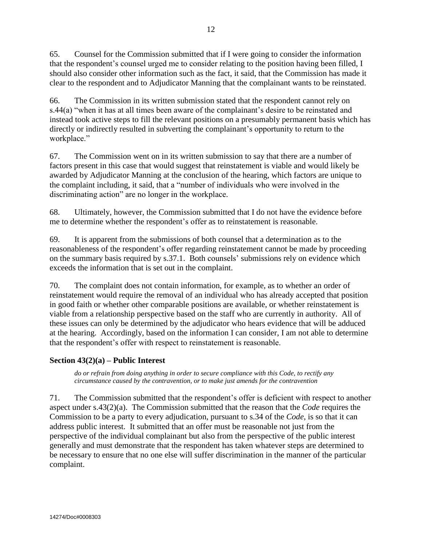65. Counsel for the Commission submitted that if I were going to consider the information that the respondent's counsel urged me to consider relating to the position having been filled, I should also consider other information such as the fact, it said, that the Commission has made it clear to the respondent and to Adjudicator Manning that the complainant wants to be reinstated.

66. The Commission in its written submission stated that the respondent cannot rely on s.44(a) "when it has at all times been aware of the complainant's desire to be reinstated and instead took active steps to fill the relevant positions on a presumably permanent basis which has directly or indirectly resulted in subverting the complainant's opportunity to return to the workplace."

67. The Commission went on in its written submission to say that there are a number of factors present in this case that would suggest that reinstatement is viable and would likely be awarded by Adjudicator Manning at the conclusion of the hearing, which factors are unique to the complaint including, it said, that a "number of individuals who were involved in the discriminating action" are no longer in the workplace.

68. Ultimately, however, the Commission submitted that I do not have the evidence before me to determine whether the respondent's offer as to reinstatement is reasonable.

69. It is apparent from the submissions of both counsel that a determination as to the reasonableness of the respondent's offer regarding reinstatement cannot be made by proceeding on the summary basis required by s.37.1. Both counsels' submissions rely on evidence which exceeds the information that is set out in the complaint.

70. The complaint does not contain information, for example, as to whether an order of reinstatement would require the removal of an individual who has already accepted that position in good faith or whether other comparable positions are available, or whether reinstatement is viable from a relationship perspective based on the staff who are currently in authority. All of these issues can only be determined by the adjudicator who hears evidence that will be adduced at the hearing. Accordingly, based on the information I can consider, I am not able to determine that the respondent's offer with respect to reinstatement is reasonable.

# **Section 43(2)(a) – Public Interest**

*do or refrain from doing anything in order to secure compliance with this Code, to rectify any circumstance caused by the contravention, or to make just amends for the contravention*

71. The Commission submitted that the respondent's offer is deficient with respect to another aspect under s.43(2)(a). The Commission submitted that the reason that the *Code* requires the Commission to be a party to every adjudication, pursuant to s.34 of the *Code*, is so that it can address public interest. It submitted that an offer must be reasonable not just from the perspective of the individual complainant but also from the perspective of the public interest generally and must demonstrate that the respondent has taken whatever steps are determined to be necessary to ensure that no one else will suffer discrimination in the manner of the particular complaint.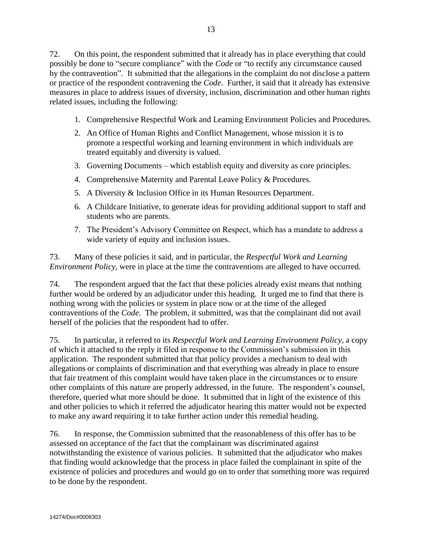72. On this point, the respondent submitted that it already has in place everything that could possibly be done to "secure compliance" with the *Code* or "to rectify any circumstance caused by the contravention". It submitted that the allegations in the complaint do not disclose a pattern or practice of the respondent contravening the *Code*. Further, it said that it already has extensive measures in place to address issues of diversity, inclusion, discrimination and other human rights related issues, including the following:

- 1. Comprehensive Respectful Work and Learning Environment Policies and Procedures.
- 2. An Office of Human Rights and Conflict Management, whose mission it is to promote a respectful working and learning environment in which individuals are treated equitably and diversity is valued.
- 3. Governing Documents which establish equity and diversity as core principles.
- 4. Comprehensive Maternity and Parental Leave Policy & Procedures.
- 5. A Diversity & Inclusion Office in its Human Resources Department.
- 6. A Childcare Initiative, to generate ideas for providing additional support to staff and students who are parents.
- 7. The President's Advisory Committee on Respect, which has a mandate to address a wide variety of equity and inclusion issues.

73. Many of these policies it said, and in particular, the *Respectful Work and Learning Environment Policy,* were in place at the time the contraventions are alleged to have occurred.

74. The respondent argued that the fact that these policies already exist means that nothing further would be ordered by an adjudicator under this heading. It urged me to find that there is nothing wrong with the policies or system in place now or at the time of the alleged contraventions of the *Code*. The problem, it submitted, was that the complainant did not avail herself of the policies that the respondent had to offer.

75. In particular, it referred to its *Respectful Work and Learning Environment Policy*, a copy of which it attached to the reply it filed in response to the Commission's submission in this application. The respondent submitted that that policy provides a mechanism to deal with allegations or complaints of discrimination and that everything was already in place to ensure that fair treatment of this complaint would have taken place in the circumstances or to ensure other complaints of this nature are properly addressed, in the future. The respondent's counsel, therefore, queried what more should be done. It submitted that in light of the existence of this and other policies to which it referred the adjudicator hearing this matter would not be expected to make any award requiring it to take further action under this remedial heading.

76. In response, the Commission submitted that the reasonableness of this offer has to be assessed on acceptance of the fact that the complainant was discriminated against notwithstanding the existence of various policies. It submitted that the adjudicator who makes that finding would acknowledge that the process in place failed the complainant in spite of the existence of policies and procedures and would go on to order that something more was required to be done by the respondent.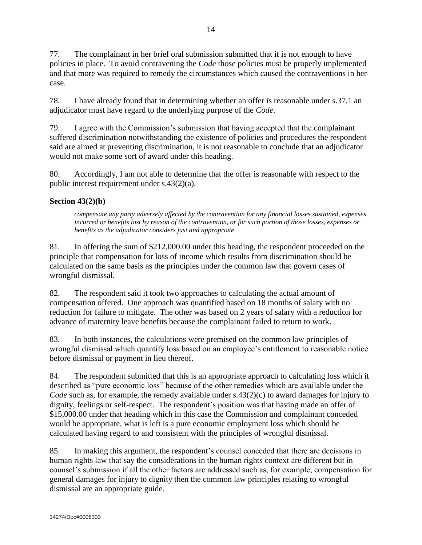77. The complainant in her brief oral submission submitted that it is not enough to have policies in place. To avoid contravening the *Code* those policies must be properly implemented and that more was required to remedy the circumstances which caused the contraventions in her case.

78. I have already found that in determining whether an offer is reasonable under s.37.1 an adjudicator must have regard to the underlying purpose of the *Code*.

79. I agree with the Commission's submission that having accepted that the complainant suffered discrimination notwithstanding the existence of policies and procedures the respondent said are aimed at preventing discrimination, it is not reasonable to conclude that an adjudicator would not make some sort of award under this heading.

80. Accordingly, I am not able to determine that the offer is reasonable with respect to the public interest requirement under s.43(2)(a).

# **Section 43(2)(b)**

*compensate any party adversely affected by the contravention for any financial losses sustained, expenses incurred or benefits lost by reason of the contravention, or for such portion of those losses, expenses or benefits as the adjudicator considers just and appropriate*

81. In offering the sum of \$212,000.00 under this heading, the respondent proceeded on the principle that compensation for loss of income which results from discrimination should be calculated on the same basis as the principles under the common law that govern cases of wrongful dismissal.

82. The respondent said it took two approaches to calculating the actual amount of compensation offered. One approach was quantified based on 18 months of salary with no reduction for failure to mitigate. The other was based on 2 years of salary with a reduction for advance of maternity leave benefits because the complainant failed to return to work.

83. In both instances, the calculations were premised on the common law principles of wrongful dismissal which quantify loss based on an employee's entitlement to reasonable notice before dismissal or payment in lieu thereof.

84. The respondent submitted that this is an appropriate approach to calculating loss which it described as "pure economic loss" because of the other remedies which are available under the *Code* such as, for example, the remedy available under s.43(2)(c) to award damages for injury to dignity, feelings or self-respect. The respondent's position was that having made an offer of \$15,000.00 under that heading which in this case the Commission and complainant conceded would be appropriate, what is left is a pure economic employment loss which should be calculated having regard to and consistent with the principles of wrongful dismissal.

85. In making this argument, the respondent's counsel conceded that there are decisions in human rights law that say the considerations in the human rights context are different but in counsel's submission if all the other factors are addressed such as, for example, compensation for general damages for injury to dignity then the common law principles relating to wrongful dismissal are an appropriate guide.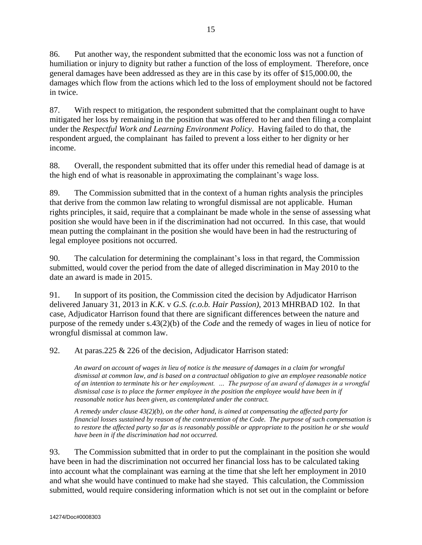86. Put another way, the respondent submitted that the economic loss was not a function of humiliation or injury to dignity but rather a function of the loss of employment. Therefore, once general damages have been addressed as they are in this case by its offer of \$15,000.00, the damages which flow from the actions which led to the loss of employment should not be factored in twice.

87. With respect to mitigation, the respondent submitted that the complainant ought to have mitigated her loss by remaining in the position that was offered to her and then filing a complaint under the *Respectful Work and Learning Environment Policy*. Having failed to do that, the respondent argued, the complainant has failed to prevent a loss either to her dignity or her income.

88. Overall, the respondent submitted that its offer under this remedial head of damage is at the high end of what is reasonable in approximating the complainant's wage loss.

89. The Commission submitted that in the context of a human rights analysis the principles that derive from the common law relating to wrongful dismissal are not applicable. Human rights principles, it said, require that a complainant be made whole in the sense of assessing what position she would have been in if the discrimination had not occurred. In this case, that would mean putting the complainant in the position she would have been in had the restructuring of legal employee positions not occurred.

90. The calculation for determining the complainant's loss in that regard, the Commission submitted, would cover the period from the date of alleged discrimination in May 2010 to the date an award is made in 2015.

91. In support of its position, the Commission cited the decision by Adjudicator Harrison delivered January 31, 2013 in *K.K.* v *G.S. (c.o.b. Hair Passion)*, 2013 MHRBAD 102. In that case, Adjudicator Harrison found that there are significant differences between the nature and purpose of the remedy under s.43(2)(b) of the *Code* and the remedy of wages in lieu of notice for wrongful dismissal at common law.

92. At paras.225 & 226 of the decision, Adjudicator Harrison stated:

*An award on account of wages in lieu of notice is the measure of damages in a claim for wrongful dismissal at common law, and is based on a contractual obligation to give an employee reasonable notice of an intention to terminate his or her employment. … The purpose of an award of damages in a wrongful dismissal case is to place the former employee in the position the employee would have been in if reasonable notice has been given, as contemplated under the contract.*

*A remedy under clause 43(2)(b), on the other hand, is aimed at compensating the affected party for financial losses sustained by reason of the contravention of the Code. The purpose of such compensation is to restore the affected party so far as is reasonably possible or appropriate to the position he or she would have been in if the discrimination had not occurred.*

93. The Commission submitted that in order to put the complainant in the position she would have been in had the discrimination not occurred her financial loss has to be calculated taking into account what the complainant was earning at the time that she left her employment in 2010 and what she would have continued to make had she stayed. This calculation, the Commission submitted, would require considering information which is not set out in the complaint or before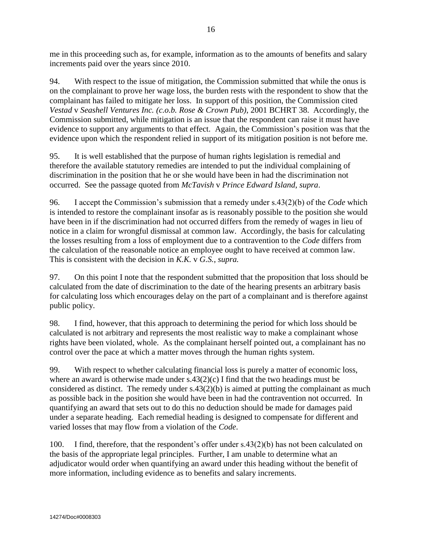me in this proceeding such as, for example, information as to the amounts of benefits and salary increments paid over the years since 2010.

94. With respect to the issue of mitigation, the Commission submitted that while the onus is on the complainant to prove her wage loss, the burden rests with the respondent to show that the complainant has failed to mitigate her loss. In support of this position, the Commission cited *Vestad* v *Seashell Ventures Inc. (c.o.b. Rose & Crown Pub)*, 2001 BCHRT 38. Accordingly, the Commission submitted, while mitigation is an issue that the respondent can raise it must have evidence to support any arguments to that effect. Again, the Commission's position was that the evidence upon which the respondent relied in support of its mitigation position is not before me.

95. It is well established that the purpose of human rights legislation is remedial and therefore the available statutory remedies are intended to put the individual complaining of discrimination in the position that he or she would have been in had the discrimination not occurred. See the passage quoted from *McTavish* v *Prince Edward Island*, *supra*.

96. I accept the Commission's submission that a remedy under s.43(2)(b) of the *Code* which is intended to restore the complainant insofar as is reasonably possible to the position she would have been in if the discrimination had not occurred differs from the remedy of wages in lieu of notice in a claim for wrongful dismissal at common law. Accordingly, the basis for calculating the losses resulting from a loss of employment due to a contravention to the *Code* differs from the calculation of the reasonable notice an employee ought to have received at common law. This is consistent with the decision in *K.K.* v *G.S.*, *supra.*

97. On this point I note that the respondent submitted that the proposition that loss should be calculated from the date of discrimination to the date of the hearing presents an arbitrary basis for calculating loss which encourages delay on the part of a complainant and is therefore against public policy.

98. I find, however, that this approach to determining the period for which loss should be calculated is not arbitrary and represents the most realistic way to make a complainant whose rights have been violated, whole. As the complainant herself pointed out, a complainant has no control over the pace at which a matter moves through the human rights system.

99. With respect to whether calculating financial loss is purely a matter of economic loss, where an award is otherwise made under s.43(2)(c) I find that the two headings must be considered as distinct. The remedy under s.43(2)(b) is aimed at putting the complainant as much as possible back in the position she would have been in had the contravention not occurred. In quantifying an award that sets out to do this no deduction should be made for damages paid under a separate heading. Each remedial heading is designed to compensate for different and varied losses that may flow from a violation of the *Code*.

100. I find, therefore, that the respondent's offer under s.43(2)(b) has not been calculated on the basis of the appropriate legal principles. Further, I am unable to determine what an adjudicator would order when quantifying an award under this heading without the benefit of more information, including evidence as to benefits and salary increments.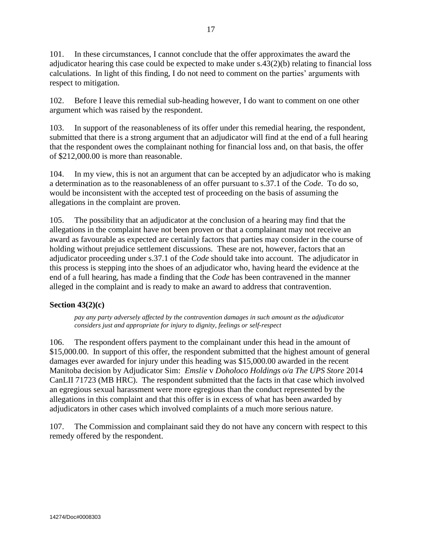101. In these circumstances, I cannot conclude that the offer approximates the award the adjudicator hearing this case could be expected to make under  $s.43(2)(b)$  relating to financial loss calculations. In light of this finding, I do not need to comment on the parties' arguments with respect to mitigation.

102. Before I leave this remedial sub-heading however, I do want to comment on one other argument which was raised by the respondent.

103. In support of the reasonableness of its offer under this remedial hearing, the respondent, submitted that there is a strong argument that an adjudicator will find at the end of a full hearing that the respondent owes the complainant nothing for financial loss and, on that basis, the offer of \$212,000.00 is more than reasonable.

104. In my view, this is not an argument that can be accepted by an adjudicator who is making a determination as to the reasonableness of an offer pursuant to s.37.1 of the *Code*. To do so, would be inconsistent with the accepted test of proceeding on the basis of assuming the allegations in the complaint are proven.

105. The possibility that an adjudicator at the conclusion of a hearing may find that the allegations in the complaint have not been proven or that a complainant may not receive an award as favourable as expected are certainly factors that parties may consider in the course of holding without prejudice settlement discussions. These are not, however, factors that an adjudicator proceeding under s.37.1 of the *Code* should take into account. The adjudicator in this process is stepping into the shoes of an adjudicator who, having heard the evidence at the end of a full hearing, has made a finding that the *Code* has been contravened in the manner alleged in the complaint and is ready to make an award to address that contravention.

# **Section 43(2)(c)**

*pay any party adversely affected by the contravention damages in such amount as the adjudicator considers just and appropriate for injury to dignity, feelings or self-respect*

106. The respondent offers payment to the complainant under this head in the amount of \$15,000.00. In support of this offer, the respondent submitted that the highest amount of general damages ever awarded for injury under this heading was \$15,000.00 awarded in the recent Manitoba decision by Adjudicator Sim: *Emslie* v *Doholoco Holdings o/a The UPS Store* 2014 CanLII 71723 (MB HRC). The respondent submitted that the facts in that case which involved an egregious sexual harassment were more egregious than the conduct represented by the allegations in this complaint and that this offer is in excess of what has been awarded by adjudicators in other cases which involved complaints of a much more serious nature.

107. The Commission and complainant said they do not have any concern with respect to this remedy offered by the respondent.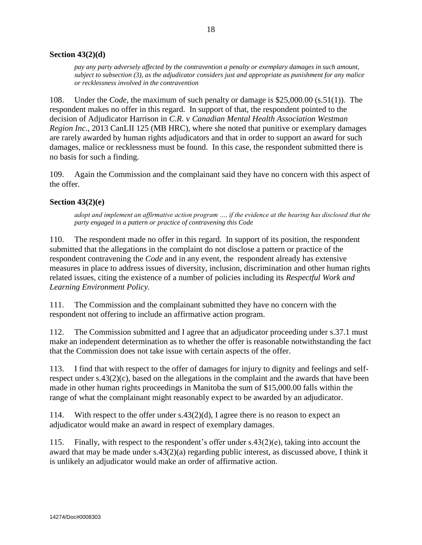## **Section 43(2)(d)**

*pay any party adversely affected by the contravention a penalty or exemplary damages in such amount, subject to subsection (3), as the adjudicator considers just and appropriate as punishment for any malice or recklessness involved in the contravention*

108. Under the *Code,* the maximum of such penalty or damage is \$25,000.00 (s.51(1)). The respondent makes no offer in this regard. In support of that, the respondent pointed to the decision of Adjudicator Harrison in *C.R.* v *Canadian Mental Health Association Westman Region Inc.*, 2013 CanLII 125 (MB HRC), where she noted that punitive or exemplary damages are rarely awarded by human rights adjudicators and that in order to support an award for such damages, malice or recklessness must be found. In this case, the respondent submitted there is no basis for such a finding.

109. Again the Commission and the complainant said they have no concern with this aspect of the offer.

## **Section 43(2)(e)**

*adopt and implement an affirmative action program …, if the evidence at the hearing has disclosed that the party engaged in a pattern or practice of contravening this Code*

110. The respondent made no offer in this regard. In support of its position, the respondent submitted that the allegations in the complaint do not disclose a pattern or practice of the respondent contravening the *Code* and in any event, the respondent already has extensive measures in place to address issues of diversity, inclusion, discrimination and other human rights related issues, citing the existence of a number of policies including its *Respectful Work and Learning Environment Policy.*

111. The Commission and the complainant submitted they have no concern with the respondent not offering to include an affirmative action program.

112. The Commission submitted and I agree that an adjudicator proceeding under s.37.1 must make an independent determination as to whether the offer is reasonable notwithstanding the fact that the Commission does not take issue with certain aspects of the offer.

113. I find that with respect to the offer of damages for injury to dignity and feelings and selfrespect under s.43(2)(c), based on the allegations in the complaint and the awards that have been made in other human rights proceedings in Manitoba the sum of \$15,000.00 falls within the range of what the complainant might reasonably expect to be awarded by an adjudicator.

114. With respect to the offer under  $s.43(2)(d)$ , I agree there is no reason to expect an adjudicator would make an award in respect of exemplary damages.

115. Finally, with respect to the respondent's offer under s.43(2)(e), taking into account the award that may be made under s.43(2)(a) regarding public interest, as discussed above, I think it is unlikely an adjudicator would make an order of affirmative action.